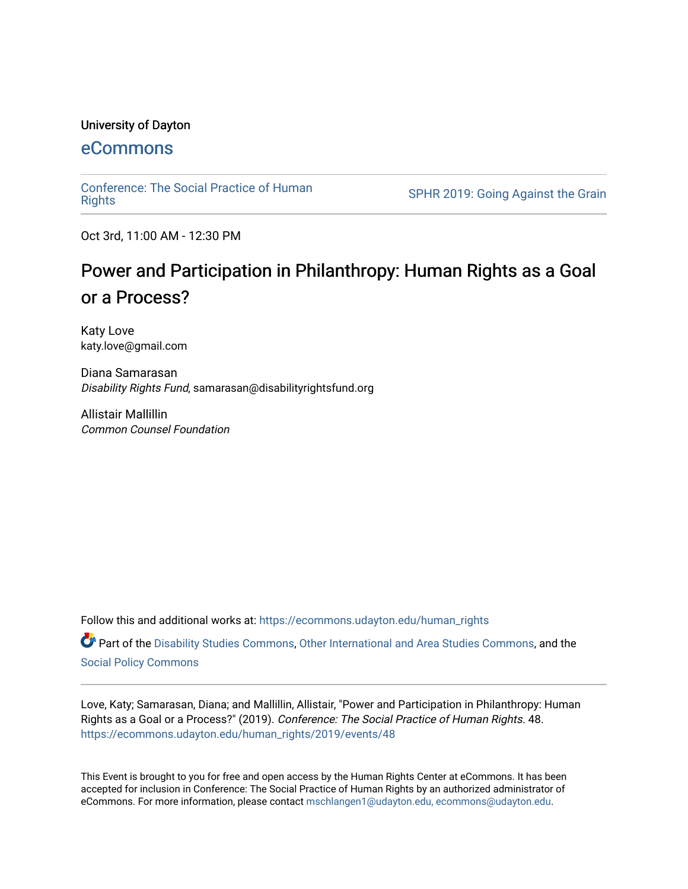#### University of Dayton

# [eCommons](https://ecommons.udayton.edu/)

[Conference: The Social Practice of Human](https://ecommons.udayton.edu/human_rights)

SPHR 2019: Going Against the Grain

Oct 3rd, 11:00 AM - 12:30 PM

# Power and Participation in Philanthropy: Human Rights as a Goal or a Process?

Katy Love katy.love@gmail.com

Diana Samarasan Disability Rights Fund, samarasan@disabilityrightsfund.org

Allistair Mallillin Common Counsel Foundation

Follow this and additional works at: [https://ecommons.udayton.edu/human\\_rights](https://ecommons.udayton.edu/human_rights?utm_source=ecommons.udayton.edu%2Fhuman_rights%2F2019%2Fevents%2F48&utm_medium=PDF&utm_campaign=PDFCoverPages)

Part of the [Disability Studies Commons](http://network.bepress.com/hgg/discipline/1417?utm_source=ecommons.udayton.edu%2Fhuman_rights%2F2019%2Fevents%2F48&utm_medium=PDF&utm_campaign=PDFCoverPages), [Other International and Area Studies Commons,](http://network.bepress.com/hgg/discipline/365?utm_source=ecommons.udayton.edu%2Fhuman_rights%2F2019%2Fevents%2F48&utm_medium=PDF&utm_campaign=PDFCoverPages) and the [Social Policy Commons](http://network.bepress.com/hgg/discipline/1030?utm_source=ecommons.udayton.edu%2Fhuman_rights%2F2019%2Fevents%2F48&utm_medium=PDF&utm_campaign=PDFCoverPages) 

Love, Katy; Samarasan, Diana; and Mallillin, Allistair, "Power and Participation in Philanthropy: Human Rights as a Goal or a Process?" (2019). Conference: The Social Practice of Human Rights. 48. [https://ecommons.udayton.edu/human\\_rights/2019/events/48](https://ecommons.udayton.edu/human_rights/2019/events/48?utm_source=ecommons.udayton.edu%2Fhuman_rights%2F2019%2Fevents%2F48&utm_medium=PDF&utm_campaign=PDFCoverPages) 

This Event is brought to you for free and open access by the Human Rights Center at eCommons. It has been accepted for inclusion in Conference: The Social Practice of Human Rights by an authorized administrator of eCommons. For more information, please contact [mschlangen1@udayton.edu, ecommons@udayton.edu.](mailto:mschlangen1@udayton.edu,%20ecommons@udayton.edu)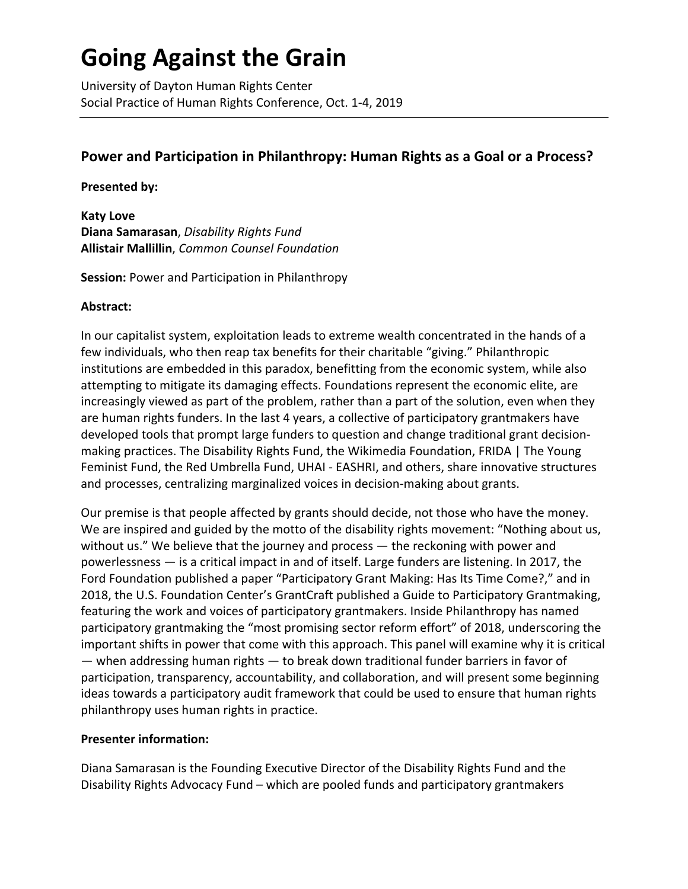# **Going Against the Grain**

University of Dayton Human Rights Center Social Practice of Human Rights Conference, Oct. 1-4, 2019

# **Power and Participation in Philanthropy: Human Rights as a Goal or a Process?**

### **Presented by:**

**Katy Love Diana Samarasan**, *Disability Rights Fund* **Allistair Mallillin**, *Common Counsel Foundation*

# **Session:** Power and Participation in Philanthropy

### **Abstract:**

In our capitalist system, exploitation leads to extreme wealth concentrated in the hands of a few individuals, who then reap tax benefits for their charitable "giving." Philanthropic institutions are embedded in this paradox, benefitting from the economic system, while also attempting to mitigate its damaging effects. Foundations represent the economic elite, are increasingly viewed as part of the problem, rather than a part of the solution, even when they are human rights funders. In the last 4 years, a collective of participatory grantmakers have developed tools that prompt large funders to question and change traditional grant decisionmaking practices. The Disability Rights Fund, the Wikimedia Foundation, FRIDA | The Young Feminist Fund, the Red Umbrella Fund, UHAI - EASHRI, and others, share innovative structures and processes, centralizing marginalized voices in decision-making about grants.

Our premise is that people affected by grants should decide, not those who have the money. We are inspired and guided by the motto of the disability rights movement: "Nothing about us, without us." We believe that the journey and process — the reckoning with power and powerlessness — is a critical impact in and of itself. Large funders are listening. In 2017, the Ford Foundation published a paper "Participatory Grant Making: Has Its Time Come?," and in 2018, the U.S. Foundation Center's GrantCraft published a Guide to Participatory Grantmaking, featuring the work and voices of participatory grantmakers. Inside Philanthropy has named participatory grantmaking the "most promising sector reform effort" of 2018, underscoring the important shifts in power that come with this approach. This panel will examine why it is critical — when addressing human rights — to break down traditional funder barriers in favor of participation, transparency, accountability, and collaboration, and will present some beginning ideas towards a participatory audit framework that could be used to ensure that human rights philanthropy uses human rights in practice.

# **Presenter information:**

Diana Samarasan is the Founding Executive Director of the Disability Rights Fund and the Disability Rights Advocacy Fund – which are pooled funds and participatory grantmakers